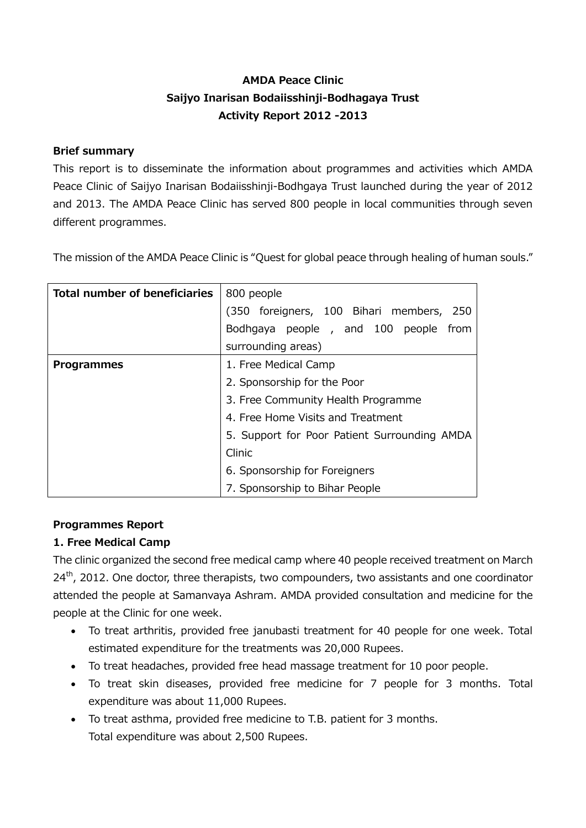# **AMDA Peace Clinic Saijyo Inarisan Bodaiisshinji-Bodhagaya Trust Activity Report 2012 -2013**

## **Brief summary**

This report is to disseminate the information about programmes and activities which AMDA Peace Clinic of Saijyo Inarisan Bodaiisshinji-Bodhgaya Trust launched during the year of 2012 and 2013. The AMDA Peace Clinic has served 800 people in local communities through seven different programmes.

The mission of the AMDA Peace Clinic is "Quest for global peace through healing of human souls."

| <b>Total number of beneficiaries</b> | 800 people                                   |
|--------------------------------------|----------------------------------------------|
|                                      | (350 foreigners, 100 Bihari members,<br>-250 |
|                                      | Bodhgaya people, and 100 people<br>from      |
|                                      | surrounding areas)                           |
| <b>Programmes</b>                    | 1. Free Medical Camp                         |
|                                      | 2. Sponsorship for the Poor                  |
|                                      | 3. Free Community Health Programme           |
|                                      | 4. Free Home Visits and Treatment            |
|                                      | 5. Support for Poor Patient Surrounding AMDA |
|                                      | Clinic                                       |
|                                      | 6. Sponsorship for Foreigners                |
|                                      | 7. Sponsorship to Bihar People               |

#### **Programmes Report**

# **1. Free Medical Camp**

The clinic organized the second free medical camp where 40 people received treatment on March  $24<sup>th</sup>$ , 2012. One doctor, three therapists, two compounders, two assistants and one coordinator attended the people at Samanvaya Ashram. AMDA provided consultation and medicine for the people at the Clinic for one week.

- To treat arthritis, provided free janubasti treatment for 40 people for one week. Total estimated expenditure for the treatments was 20,000 Rupees.
- To treat headaches, provided free head massage treatment for 10 poor people.
- To treat skin diseases, provided free medicine for 7 people for 3 months. Total expenditure was about 11,000 Rupees.
- To treat asthma, provided free medicine to T.B. patient for 3 months. Total expenditure was about 2,500 Rupees.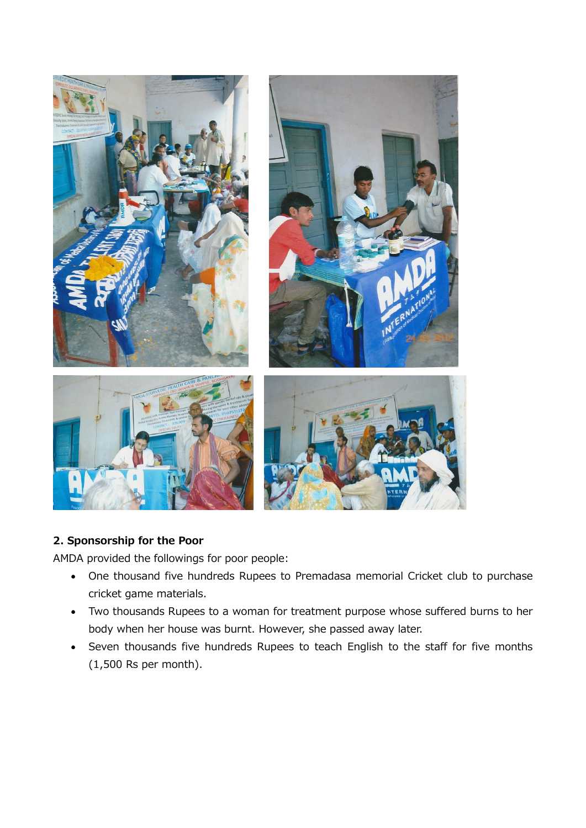

# **2. Sponsorship for the Poor**

AMDA provided the followings for poor people:

- One thousand five hundreds Rupees to Premadasa memorial Cricket club to purchase cricket game materials.
- Two thousands Rupees to a woman for treatment purpose whose suffered burns to her body when her house was burnt. However, she passed away later.
- Seven thousands five hundreds Rupees to teach English to the staff for five months (1,500 Rs per month).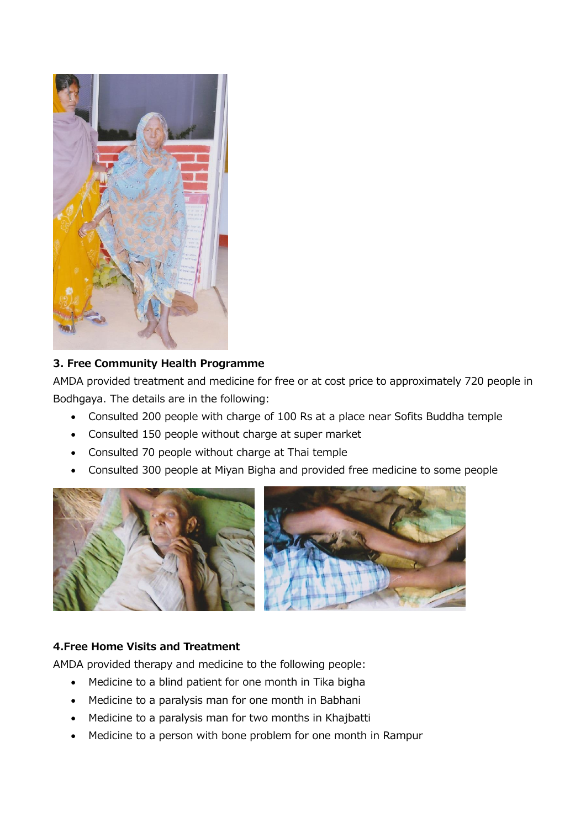

## **3. Free Community Health Programme**

AMDA provided treatment and medicine for free or at cost price to approximately 720 people in Bodhgaya. The details are in the following:

- Consulted 200 people with charge of 100 Rs at a place near Sofits Buddha temple
- Consulted 150 people without charge at super market
- Consulted 70 people without charge at Thai temple
- Consulted 300 people at Miyan Bigha and provided free medicine to some people



# **4.Free Home Visits and Treatment**

AMDA provided therapy and medicine to the following people:

- Medicine to a blind patient for one month in Tika bigha
- Medicine to a paralysis man for one month in Babhani
- Medicine to a paralysis man for two months in Khajbatti
- Medicine to a person with bone problem for one month in Rampur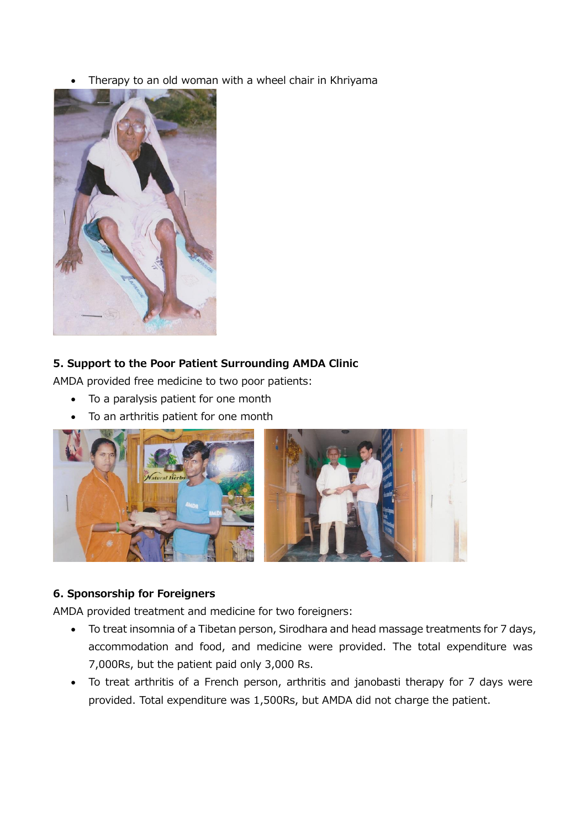Therapy to an old woman with a wheel chair in Khriyama



#### **5. Support to the Poor Patient Surrounding AMDA Clinic**

AMDA provided free medicine to two poor patients:

- To a paralysis patient for one month
- To an arthritis patient for one month



# **6. Sponsorship for Foreigners**

AMDA provided treatment and medicine for two foreigners:

- To treat insomnia of a Tibetan person, Sirodhara and head massage treatments for 7 days, accommodation and food, and medicine were provided. The total expenditure was 7,000Rs, but the patient paid only 3,000 Rs.
- To treat arthritis of a French person, arthritis and janobasti therapy for 7 days were provided. Total expenditure was 1,500Rs, but AMDA did not charge the patient.